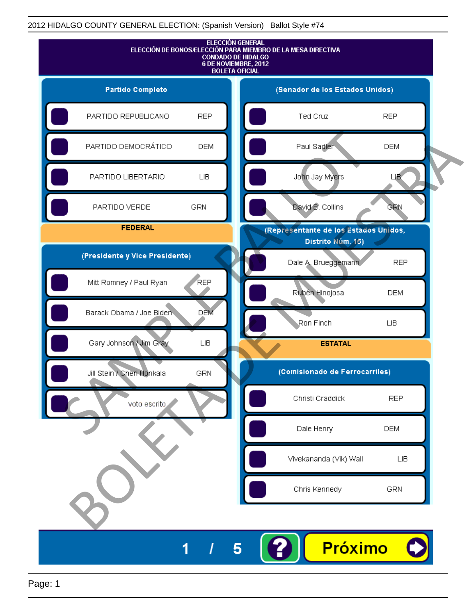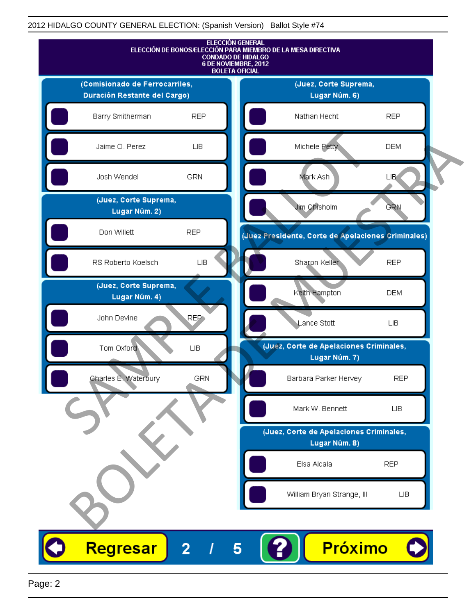

Page: 2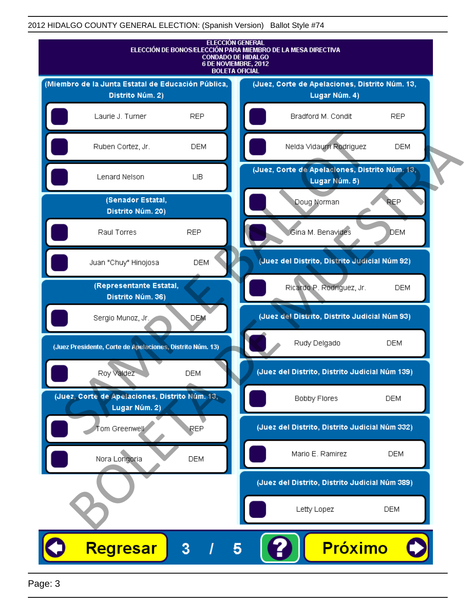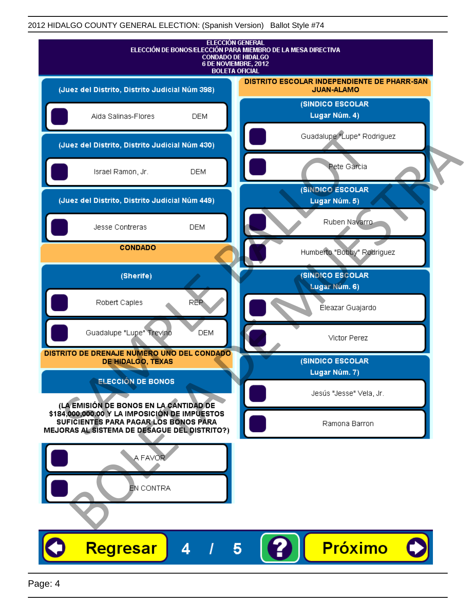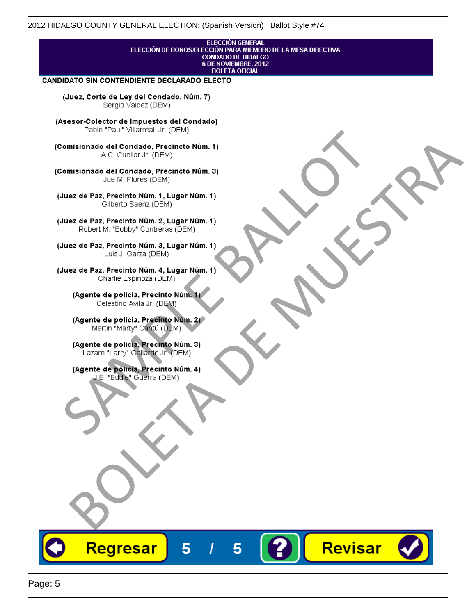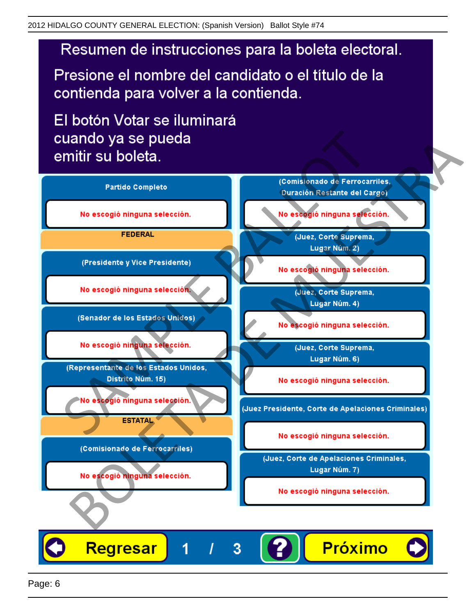# Resumen de instrucciones para la boleta electoral.

Presione el nombre del candidato o el título de la contienda para volver a la contienda.

El botón Votar se iluminará

![](_page_5_Figure_4.jpeg)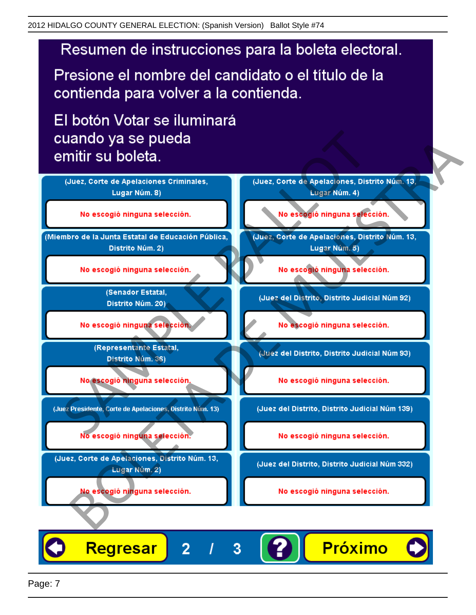# Resumen de instrucciones para la boleta electoral.

Presione el nombre del candidato o el título de la contienda para volver a la contienda.

El botón Votar se iluminará

![](_page_6_Figure_4.jpeg)